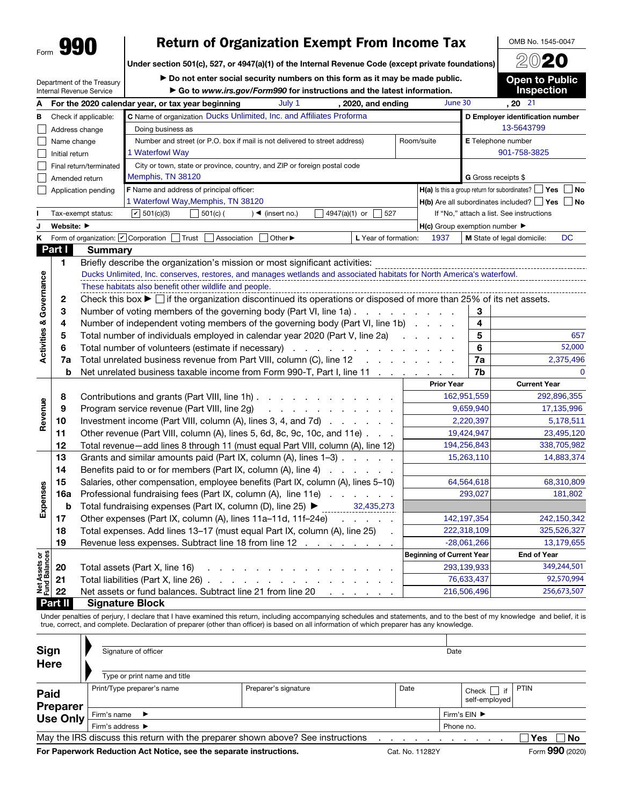## Form **990** Peturn of Organization Exempt From Income Tax DOMB No. 1545-00.<br>Under section 501(c), 527, or 4947(a)(1) of the Internal Revenue Code (except private foundations) 2020

Under section 501(c), 527, or 4947(a)(1) of the Internal Revenue Code (except private foundations)

Department of the Treasury

 $\triangleright$  Do not enter social security numbers on this form as it may be made public. ▶ Go to *www.irs.gov/Form990* for instructions and the latest information.

Open to Public Inspection

OMB No. 1545-0047

|                                    |                | Internal Revenue Service                               | $\triangleright$ Go to www.irs.gov/Form990 for instructions and the latest information.                                                     |                   |                                  |                                                                | <b>Inspection</b>                        |  |  |  |
|------------------------------------|----------------|--------------------------------------------------------|---------------------------------------------------------------------------------------------------------------------------------------------|-------------------|----------------------------------|----------------------------------------------------------------|------------------------------------------|--|--|--|
| А                                  |                |                                                        | July 1<br>For the 2020 calendar year, or tax year beginning<br>, 2020, and ending                                                           |                   | June 30                          |                                                                | $, 20$ $\overline{21}$                   |  |  |  |
| в                                  |                | Check if applicable:                                   | C Name of organization Ducks Unlimited, Inc. and Affiliates Proforma                                                                        |                   | D Employer identification number |                                                                |                                          |  |  |  |
|                                    |                | Address change                                         | Doing business as                                                                                                                           |                   |                                  | 13-5643799                                                     |                                          |  |  |  |
|                                    | Name change    |                                                        | Number and street (or P.O. box if mail is not delivered to street address)                                                                  | Room/suite        |                                  | E Telephone number                                             |                                          |  |  |  |
|                                    | Initial return |                                                        | 1 Waterfowl Way                                                                                                                             |                   |                                  |                                                                | 901-758-3825                             |  |  |  |
|                                    |                | Final return/terminated                                | City or town, state or province, country, and ZIP or foreign postal code                                                                    |                   |                                  |                                                                |                                          |  |  |  |
|                                    |                | Amended return                                         | Memphis, TN 38120                                                                                                                           |                   |                                  | G Gross receipts \$                                            |                                          |  |  |  |
|                                    |                | Application pending                                    | F Name and address of principal officer:                                                                                                    |                   |                                  | H(a) Is this a group return for subordinates?<br>  Yes<br>  No |                                          |  |  |  |
|                                    |                |                                                        | 1 Waterfowl Way, Memphis, TN 38120                                                                                                          |                   |                                  | $H(b)$ Are all subordinates included? $\Box$ Yes $\Box$ No     |                                          |  |  |  |
|                                    |                | Tax-exempt status:                                     | $ v $ 501(c)(3)<br>$501(c)$ (<br>4947(a)(1) or<br>527<br>$)$ < (insert no.)                                                                 |                   |                                  |                                                                | If "No," attach a list. See instructions |  |  |  |
| J                                  | Website: ▶     |                                                        |                                                                                                                                             |                   |                                  | $H(c)$ Group exemption number $\blacktriangleright$            |                                          |  |  |  |
| K                                  |                | Form of organization: <i>O</i> Corporation             | Trust<br>Association<br>Other ▶<br>L Year of formation:                                                                                     |                   | 1937                             |                                                                | DC<br>M State of legal domicile:         |  |  |  |
|                                    | Part I         | <b>Summary</b>                                         |                                                                                                                                             |                   |                                  |                                                                |                                          |  |  |  |
|                                    | 1              |                                                        | Briefly describe the organization's mission or most significant activities:                                                                 |                   |                                  |                                                                |                                          |  |  |  |
|                                    |                |                                                        | Ducks Unlimited, Inc. conserves, restores, and manages wetlands and associated habitats for North America's waterfowl.                      |                   |                                  |                                                                |                                          |  |  |  |
|                                    |                | These habitats also benefit other wildlife and people. |                                                                                                                                             |                   |                                  |                                                                |                                          |  |  |  |
|                                    | 2              |                                                        | Check this box $\blacktriangleright$ $\Box$ if the organization discontinued its operations or disposed of more than 25% of its net assets. |                   |                                  |                                                                |                                          |  |  |  |
|                                    | 3              |                                                        | Number of voting members of the governing body (Part VI, line 1a)                                                                           |                   | 3                                |                                                                |                                          |  |  |  |
|                                    | 4              |                                                        | Number of independent voting members of the governing body (Part VI, line 1b)                                                               |                   | 4                                |                                                                |                                          |  |  |  |
|                                    | 5              |                                                        | Total number of individuals employed in calendar year 2020 (Part V, line 2a)                                                                |                   | 5                                | 657                                                            |                                          |  |  |  |
| <b>Activities &amp; Governance</b> | 6              |                                                        |                                                                                                                                             |                   | 6                                | 52,000                                                         |                                          |  |  |  |
|                                    | 7a             |                                                        | Total unrelated business revenue from Part VIII, column (C), line 12<br>the company of the company                                          |                   |                                  | 7a                                                             | 2,375,496                                |  |  |  |
|                                    | b              |                                                        | Net unrelated business taxable income from Form 990-T, Part I, line 11<br><b>Contractor</b>                                                 |                   |                                  | 7b                                                             | $\mathbf 0$                              |  |  |  |
|                                    |                |                                                        |                                                                                                                                             | <b>Prior Year</b> |                                  | <b>Current Year</b>                                            |                                          |  |  |  |
|                                    | 8              |                                                        | Contributions and grants (Part VIII, line 1h) $\ldots$                                                                                      |                   | 162,951,559                      |                                                                | 292,896,355                              |  |  |  |
| Revenue                            | 9              |                                                        | Program service revenue (Part VIII, line 2g)<br>and a series of the company of the                                                          |                   |                                  | 9,659,940                                                      | 17,135,996                               |  |  |  |
|                                    | 10             |                                                        | Investment income (Part VIII, column $(A)$ , lines 3, 4, and 7d) $\ldots$                                                                   |                   |                                  | 2,220,397                                                      | 5,178,511                                |  |  |  |
|                                    | 11             |                                                        | Other revenue (Part VIII, column (A), lines 5, 6d, 8c, 9c, 10c, and 11e)                                                                    |                   |                                  | 19,424,947                                                     | 23,495,120                               |  |  |  |
|                                    | 12             |                                                        | Total revenue-add lines 8 through 11 (must equal Part VIII, column (A), line 12)                                                            |                   | 194,256,843                      |                                                                | 338,705,982                              |  |  |  |
|                                    | 13             |                                                        | Grants and similar amounts paid (Part IX, column (A), lines 1-3)                                                                            |                   |                                  | 15,263,110                                                     | 14,883,374                               |  |  |  |
|                                    | 14             |                                                        | Benefits paid to or for members (Part IX, column (A), line 4)                                                                               |                   |                                  |                                                                |                                          |  |  |  |
|                                    | 15             |                                                        | Salaries, other compensation, employee benefits (Part IX, column (A), lines 5–10)                                                           |                   |                                  | 64,564,618                                                     | 68,310,809                               |  |  |  |
| Expenses                           | <b>16a</b>     |                                                        | Professional fundraising fees (Part IX, column (A), line 11e)                                                                               |                   |                                  | 293,027                                                        | 181,802                                  |  |  |  |
|                                    | b              |                                                        | 32,435,273<br>Total fundraising expenses (Part IX, column (D), line 25) $\blacktriangleright$                                               |                   |                                  |                                                                |                                          |  |  |  |
|                                    | 17             |                                                        | Other expenses (Part IX, column (A), lines 11a-11d, 11f-24e)<br>and a strain and a                                                          |                   | 142, 197, 354                    |                                                                | 242,150,342                              |  |  |  |
|                                    | 18             |                                                        | Total expenses. Add lines 13-17 (must equal Part IX, column (A), line 25)                                                                   |                   | 222,318,109                      |                                                                | 325,526,327                              |  |  |  |
|                                    | 19             |                                                        | Revenue less expenses. Subtract line 18 from line 12                                                                                        |                   |                                  | $-28,061,266$                                                  | 13,179,655                               |  |  |  |
| Net Assets or<br>Fund Balances     |                |                                                        |                                                                                                                                             |                   | <b>Beginning of Current Year</b> |                                                                | <b>End of Year</b>                       |  |  |  |
|                                    | 20             |                                                        | Total assets (Part X, line 16)<br>and a strain and a strain and a                                                                           |                   | 293,139,933                      |                                                                | 349,244,501                              |  |  |  |
|                                    | 21             |                                                        | Total liabilities (Part X, line 26).<br>and a state of the state of the state of                                                            |                   |                                  | 76,633,437                                                     | 92,570,994                               |  |  |  |
|                                    | 22             |                                                        | Net assets or fund balances. Subtract line 21 from line 20                                                                                  |                   | 216,506,496                      |                                                                | 256,673,507                              |  |  |  |
|                                    | Part II        |                                                        | <b>Signature Block</b>                                                                                                                      |                   |                                  |                                                                |                                          |  |  |  |

Under penalties of perjury, I declare that I have examined this return, including accompanying schedules and statements, and to the best of my knowledge and belief, it is true, correct, and complete. Declaration of preparer (other than officer) is based on all information of which preparer has any knowledge.

| Sign<br><b>Here</b>            | Signature of officer              | Date                                                                            |      |                              |                  |  |  |  |  |
|--------------------------------|-----------------------------------|---------------------------------------------------------------------------------|------|------------------------------|------------------|--|--|--|--|
|                                | Type or print name and title      |                                                                                 |      |                              |                  |  |  |  |  |
| <b>Paid</b><br><b>Preparer</b> | Print/Type preparer's name        | Preparer's signature                                                            | Date | Check<br>if<br>self-employed | <b>PTIN</b>      |  |  |  |  |
| Use Only                       | Firm's name $\blacktriangleright$ | Firm's $EIN$ $\blacktriangleright$                                              |      |                              |                  |  |  |  |  |
|                                | Firm's address ▶                  | Phone no.                                                                       |      |                              |                  |  |  |  |  |
|                                |                                   | May the IRS discuss this return with the preparer shown above? See instructions |      |                              | Yes<br><b>No</b> |  |  |  |  |
|                                |                                   |                                                                                 | _    |                              | $\sim$<br>$\sim$ |  |  |  |  |

For Paperwork Reduction Act Notice, see the separate instructions. Cat. No. 11282Y Form 990 (2020)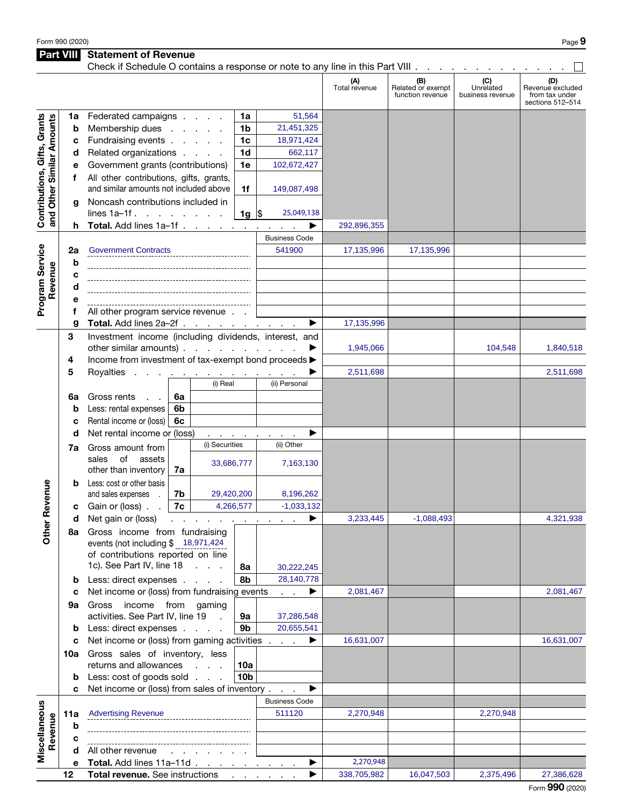Part VIII Statement of Revenue

| Check if Schedule O contains a response or note to any line in this Part VIII |                 |                                                                                                                                   |    |                                       |                             |                      |                      |                                              |                                      |                                                               |
|-------------------------------------------------------------------------------|-----------------|-----------------------------------------------------------------------------------------------------------------------------------|----|---------------------------------------|-----------------------------|----------------------|----------------------|----------------------------------------------|--------------------------------------|---------------------------------------------------------------|
|                                                                               |                 |                                                                                                                                   |    |                                       |                             |                      | (A)<br>Total revenue | (B)<br>Related or exempt<br>function revenue | (C)<br>Unrelated<br>business revenue | (D)<br>Revenue excluded<br>from tax under<br>sections 512-514 |
|                                                                               | 1a              | Federated campaigns                                                                                                               |    |                                       | 1a                          | 51,564               |                      |                                              |                                      |                                                               |
|                                                                               | b               | Membership dues                                                                                                                   |    |                                       | 1 <sub>b</sub>              | 21,451,325           |                      |                                              |                                      |                                                               |
|                                                                               | с               | Fundraising events                                                                                                                |    |                                       | 1 <sub>c</sub>              | 18,971,424           |                      |                                              |                                      |                                                               |
|                                                                               | d               | Related organizations                                                                                                             |    |                                       | 1 <sub>d</sub>              | 662,117              |                      |                                              |                                      |                                                               |
|                                                                               | е               | Government grants (contributions)                                                                                                 |    |                                       | 1e                          | 102,672,427          |                      |                                              |                                      |                                                               |
| Contributions, Gifts, Grants<br>and Other Similar Amounts                     | f               | All other contributions, gifts, grants,                                                                                           |    |                                       |                             |                      |                      |                                              |                                      |                                                               |
|                                                                               |                 | and similar amounts not included above<br>1f                                                                                      |    |                                       |                             | 149,087,498          |                      |                                              |                                      |                                                               |
|                                                                               | g               | Noncash contributions included in                                                                                                 |    |                                       |                             |                      |                      |                                              |                                      |                                                               |
|                                                                               |                 | lines $1a-1f$ .                                                                                                                   |    |                                       | 1g $\vert \mathsf{S} \vert$ | 25,049,138           |                      |                                              |                                      |                                                               |
|                                                                               | h               | Total. Add lines 1a-1f                                                                                                            |    |                                       |                             |                      | 292,896,355          |                                              |                                      |                                                               |
|                                                                               |                 |                                                                                                                                   |    |                                       |                             | <b>Business Code</b> |                      |                                              |                                      |                                                               |
|                                                                               | 2a              | <b>Government Contracts</b>                                                                                                       |    |                                       |                             | 541900               | 17,135,996           | 17,135,996                                   |                                      |                                                               |
|                                                                               | b               |                                                                                                                                   |    |                                       |                             |                      |                      |                                              |                                      |                                                               |
|                                                                               | с               |                                                                                                                                   |    |                                       |                             |                      |                      |                                              |                                      |                                                               |
| Revenue                                                                       | d               |                                                                                                                                   |    |                                       |                             |                      |                      |                                              |                                      |                                                               |
| Program Service                                                               | е               |                                                                                                                                   |    |                                       |                             |                      |                      |                                              |                                      |                                                               |
|                                                                               | f               | All other program service revenue                                                                                                 |    |                                       |                             |                      | 17,135,996           |                                              |                                      |                                                               |
|                                                                               | g               | Total. Add lines 2a-2f<br>Investment income (including dividends, interest, and                                                   |    |                                       |                             |                      |                      |                                              |                                      |                                                               |
|                                                                               | 3               | other similar amounts)                                                                                                            |    |                                       |                             |                      | 1,945,066            |                                              | 104,548                              | 1,840,518                                                     |
|                                                                               | 4               | Income from investment of tax-exempt bond proceeds >                                                                              |    |                                       |                             |                      |                      |                                              |                                      |                                                               |
|                                                                               | 5               | Royalties                                                                                                                         |    | a construction of the construction of |                             |                      | 2,511,698            |                                              |                                      | 2,511,698                                                     |
|                                                                               |                 |                                                                                                                                   |    | (i) Real                              |                             | (ii) Personal        |                      |                                              |                                      |                                                               |
|                                                                               | 6a              | Gross rents                                                                                                                       | 6a |                                       |                             |                      |                      |                                              |                                      |                                                               |
|                                                                               | b               | Less: rental expenses                                                                                                             | 6b |                                       |                             |                      |                      |                                              |                                      |                                                               |
|                                                                               | C               | Rental income or (loss)<br>6с<br>Net rental income or (loss)<br>$\mathcal{A}(\mathcal{A})$ , and $\mathcal{A}(\mathcal{A})$ , and |    |                                       |                             |                      |                      |                                              |                                      |                                                               |
|                                                                               | d               |                                                                                                                                   |    |                                       |                             |                      |                      |                                              |                                      |                                                               |
|                                                                               | 7a              | Gross amount from                                                                                                                 |    | (i) Securities                        |                             | (ii) Other           |                      |                                              |                                      |                                                               |
|                                                                               |                 | of<br>assets<br>sales                                                                                                             |    | 33,686,777                            |                             | 7,163,130            |                      |                                              |                                      |                                                               |
|                                                                               |                 | other than inventory                                                                                                              | 7a |                                       |                             |                      |                      |                                              |                                      |                                                               |
|                                                                               |                 | Less: cost or other basis                                                                                                         |    |                                       |                             |                      |                      |                                              |                                      |                                                               |
| Revenue                                                                       |                 | and sales expenses                                                                                                                | 7b | 29,420,200                            |                             | 8,196,262            |                      |                                              |                                      |                                                               |
|                                                                               | с               | Gain or (loss).                                                                                                                   | 7c |                                       | 4,266,577                   | $-1,033,132$         |                      |                                              |                                      |                                                               |
|                                                                               | d               | Net gain or (loss)<br>the contract of the contract of the con-                                                                    |    |                                       |                             |                      | 3,233,445            | $-1,088,493$                                 |                                      | 4,321,938                                                     |
| <b>Other</b>                                                                  | 8a              | Gross income from fundraising                                                                                                     |    |                                       |                             |                      |                      |                                              |                                      |                                                               |
|                                                                               |                 | events (not including \$ 18,971,424<br>of contributions reported on line                                                          |    |                                       |                             |                      |                      |                                              |                                      |                                                               |
|                                                                               |                 | 1c). See Part IV, line 18                                                                                                         |    |                                       | 8а                          | 30,222,245           |                      |                                              |                                      |                                                               |
|                                                                               | b               | Less: direct expenses                                                                                                             |    |                                       | 8b                          | 28,140,778           |                      |                                              |                                      |                                                               |
|                                                                               | c               | Net income or (loss) from fundraising events                                                                                      |    |                                       |                             | ▶                    | 2,081,467            |                                              |                                      | 2,081,467                                                     |
|                                                                               | 9а              | Gross income from gaming                                                                                                          |    |                                       |                             |                      |                      |                                              |                                      |                                                               |
|                                                                               |                 | activities. See Part IV, line 19                                                                                                  |    | $\sim$                                | 9а                          | 37,286,548           |                      |                                              |                                      |                                                               |
|                                                                               | b               | 9b<br>Less: direct expenses                                                                                                       |    |                                       |                             | 20,655,541           |                      |                                              |                                      |                                                               |
|                                                                               | c               | Net income or (loss) from gaming activities                                                                                       |    |                                       |                             | ▶                    | 16,631,007           |                                              |                                      | 16,631,007                                                    |
|                                                                               |                 | 10a Gross sales of inventory, less                                                                                                |    |                                       |                             |                      |                      |                                              |                                      |                                                               |
|                                                                               |                 | returns and allowances<br>10a                                                                                                     |    |                                       |                             |                      |                      |                                              |                                      |                                                               |
|                                                                               | b               | Less: cost of goods sold                                                                                                          |    |                                       | 10 <sub>b</sub>             |                      |                      |                                              |                                      |                                                               |
|                                                                               | c               | Net income or (loss) from sales of inventory                                                                                      |    |                                       |                             |                      |                      |                                              |                                      |                                                               |
|                                                                               |                 |                                                                                                                                   |    |                                       |                             | <b>Business Code</b> |                      |                                              |                                      |                                                               |
| Miscellaneous                                                                 | 11a             | <b>Advertising Revenue</b>                                                                                                        |    |                                       |                             | 511120               | 2,270,948            |                                              | 2,270,948                            |                                                               |
| Revenue                                                                       | b               |                                                                                                                                   |    |                                       |                             |                      |                      |                                              |                                      |                                                               |
|                                                                               | с               | All other revenue<br>and the control of the con-                                                                                  |    |                                       |                             |                      |                      |                                              |                                      |                                                               |
|                                                                               | d<br>е          | Total. Add lines 11a-11d                                                                                                          |    |                                       |                             |                      | 2,270,948            |                                              |                                      |                                                               |
|                                                                               | 12 <sub>2</sub> | Total revenue. See instructions                                                                                                   |    |                                       |                             |                      | 338,705,982          | 16,047,503                                   | 2,375,496                            | 27,386,628                                                    |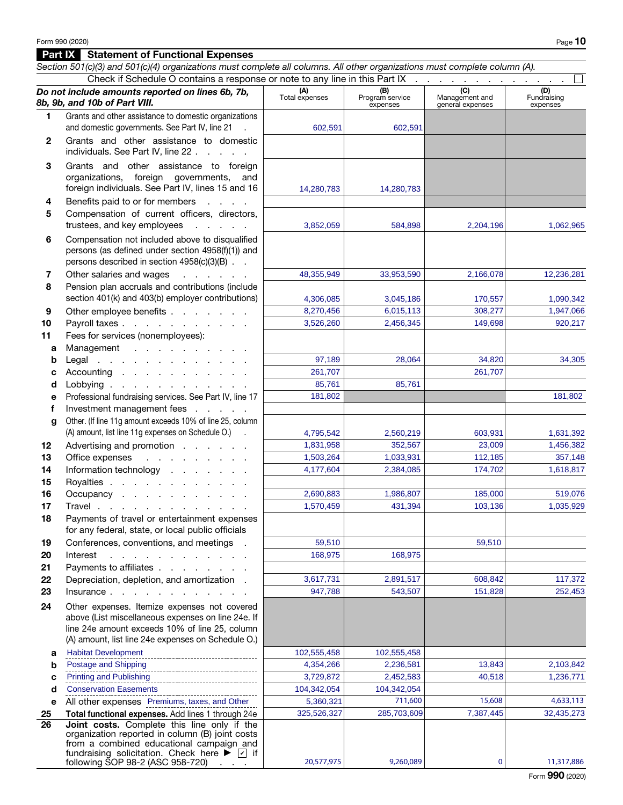|              | Section 501(c)(3) and 501(c)(4) organizations must complete all columns. All other organizations must complete column (A). |                       |                                    |                                           |                                |
|--------------|----------------------------------------------------------------------------------------------------------------------------|-----------------------|------------------------------------|-------------------------------------------|--------------------------------|
|              | Check if Schedule O contains a response or note to any line in this Part IX                                                |                       |                                    |                                           |                                |
|              | Do not include amounts reported on lines 6b, 7b,<br>8b, 9b, and 10b of Part VIII.                                          | (A)<br>Total expenses | (B)<br>Program service<br>expenses | (C)<br>Management and<br>general expenses | (D)<br>Fundraising<br>expenses |
| 1            | Grants and other assistance to domestic organizations<br>and domestic governments. See Part IV, line 21                    |                       |                                    |                                           |                                |
|              |                                                                                                                            | 602,591               | 602,591                            |                                           |                                |
| $\mathbf{2}$ | Grants and other assistance to domestic<br>individuals. See Part IV, line 22                                               |                       |                                    |                                           |                                |
| 3            | Grants and other assistance to foreign                                                                                     |                       |                                    |                                           |                                |
|              | organizations, foreign governments,<br>and<br>foreign individuals. See Part IV, lines 15 and 16                            | 14,280,783            | 14,280,783                         |                                           |                                |
| 4            | Benefits paid to or for members<br><b>Carl Control</b>                                                                     |                       |                                    |                                           |                                |
| 5            | Compensation of current officers, directors,                                                                               |                       |                                    |                                           |                                |
|              | trustees, and key employees<br>and a state of the                                                                          | 3,852,059             | 584,898                            | 2,204,196                                 | 1,062,965                      |
| 6            | Compensation not included above to disqualified                                                                            |                       |                                    |                                           |                                |
|              | persons (as defined under section 4958(f)(1)) and                                                                          |                       |                                    |                                           |                                |
|              | persons described in section 4958(c)(3)(B)                                                                                 |                       |                                    |                                           |                                |
| 7            | Other salaries and wages<br>and the company of the company of                                                              | 48,355,949            | 33,953,590                         | 2,166,078                                 | 12,236,281                     |
| 8            | Pension plan accruals and contributions (include                                                                           |                       |                                    |                                           |                                |
|              | section 401(k) and 403(b) employer contributions)                                                                          | 4,306,085             | 3,045,186                          | 170,557                                   | 1,090,342                      |
| 9            | Other employee benefits                                                                                                    | 8,270,456             | 6,015,113                          | 308,277                                   | 1,947,066                      |
| 10           | Payroll taxes                                                                                                              | 3,526,260             | 2,456,345                          | 149,698                                   | 920,217                        |
| 11           | Fees for services (nonemployees):                                                                                          |                       |                                    |                                           |                                |
| a            | Management                                                                                                                 |                       |                                    |                                           |                                |
| b            | Legal                                                                                                                      | 97,189<br>261,707     | 28,064                             | 34,820<br>261,707                         | 34,305                         |
| с<br>d       | Accounting<br>Lobbying                                                                                                     | 85,761                | 85,761                             |                                           |                                |
| е            | Professional fundraising services. See Part IV, line 17                                                                    | 181,802               |                                    |                                           | 181,802                        |
| f            | Investment management fees                                                                                                 |                       |                                    |                                           |                                |
| g            | Other. (If line 11g amount exceeds 10% of line 25, column                                                                  |                       |                                    |                                           |                                |
|              | (A) amount, list line 11g expenses on Schedule O.) .                                                                       | 4,795,542             | 2,560,219                          | 603,931                                   | 1,631,392                      |
| 12           | Advertising and promotion                                                                                                  | 1,831,958             | 352,567                            | 23,009                                    | 1,456,382                      |
| 13           | $\mathcal{A}$ . The second contribution of $\mathcal{A}$<br>Office expenses                                                | 1,503,264             | 1,033,931                          | 112,185                                   | 357,148                        |
| 14           | Information technology                                                                                                     | 4,177,604             | 2,384,085                          | 174,702                                   | 1,618,817                      |
| 15           | Royalties                                                                                                                  |                       |                                    |                                           |                                |
| 16           | Occupancy                                                                                                                  | 2,690,883             | 1,986,807                          | 185,000                                   | 519,076                        |
| 17<br>18     | Travel<br>Payments of travel or entertainment expenses                                                                     | 1,570,459             | 431,394                            | 103,136                                   | 1,035,929                      |
|              | for any federal, state, or local public officials                                                                          |                       |                                    |                                           |                                |
| 19           | Conferences, conventions, and meetings .                                                                                   | 59,510                |                                    | 59,510                                    |                                |
| 20           | Interest<br>the contract of the contract of the contract of                                                                | 168,975               | 168,975                            |                                           |                                |
| 21           | Payments to affiliates                                                                                                     |                       |                                    |                                           |                                |
| 22           | Depreciation, depletion, and amortization.                                                                                 | 3,617,731             | 2,891,517                          | 608,842                                   | 117,372                        |
| 23           | Insurface                                                                                                                  | 947,788               | 543,507                            | 151,828                                   | 252,453                        |
| 24           | Other expenses. Itemize expenses not covered                                                                               |                       |                                    |                                           |                                |
|              | above (List miscellaneous expenses on line 24e. If                                                                         |                       |                                    |                                           |                                |
|              | line 24e amount exceeds 10% of line 25, column<br>(A) amount, list line 24e expenses on Schedule O.)                       |                       |                                    |                                           |                                |
| а            | <b>Habitat Development</b>                                                                                                 | 102,555,458           | 102,555,458                        |                                           |                                |
| b            | Postage and Shipping                                                                                                       | 4,354,266             | 2,236,581                          | 13,843                                    | 2,103,842                      |
| с            | <b>Printing and Publishing</b>                                                                                             | 3,729,872             | 2,452,583                          | 40,518                                    | 1,236,771                      |
| d            | <b>Conservation Easements</b>                                                                                              | 104,342,054           | 104,342,054                        |                                           |                                |
| е            | All other expenses Premiums, taxes, and Other                                                                              | 5,360,321             | 711,600                            | 15,608                                    | 4,633,113                      |
| 25           | Total functional expenses. Add lines 1 through 24e                                                                         | 325,526,327           | 285,703,609                        | 7,387,445                                 | 32,435,273                     |
| 26           | Joint costs. Complete this line only if the                                                                                |                       |                                    |                                           |                                |
|              | organization reported in column (B) joint costs<br>from a combined educational campaign and                                |                       |                                    |                                           |                                |
|              | fundraising solicitation. Check here $\blacktriangleright \blacktriangleright \blacktriangleright$ if                      |                       |                                    |                                           |                                |
|              | following SOP 98-2 (ASC 958-720)                                                                                           | 20,577,975            | 9,260,089                          | $\mathbf 0$                               | 11,317,886                     |

Form 990 (2020)